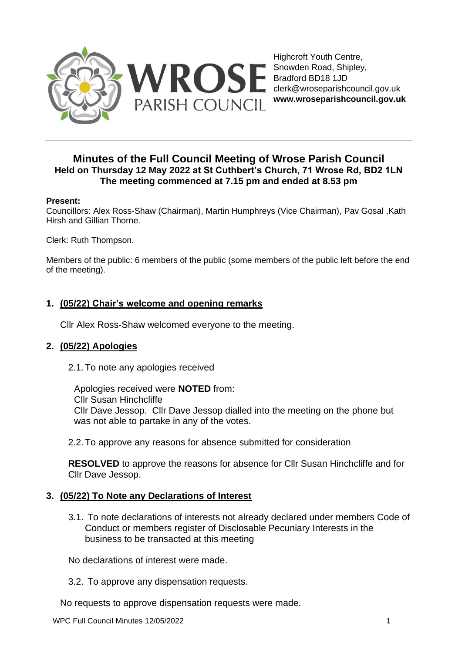

Highcroft Youth Centre, Snowden Road, Shipley, Bradford BD18 1JD clerk@wroseparishcouncil.gov.uk **www.wroseparishcouncil.gov.uk**

# **Minutes of the Full Council Meeting of Wrose Parish Council Held on Thursday 12 May 2022 at St Cuthbert's Church, 71 Wrose Rd, BD2 1LN The meeting commenced at 7.15 pm and ended at 8.53 pm**

### **Present:**

Councillors: Alex Ross-Shaw (Chairman), Martin Humphreys (Vice Chairman), Pav Gosal ,Kath Hirsh and Gillian Thorne.

Clerk: Ruth Thompson.

Members of the public: 6 members of the public (some members of the public left before the end of the meeting).

## **1. (05/22) Chair's welcome and opening remarks**

Cllr Alex Ross-Shaw welcomed everyone to the meeting.

## **2. (05/22) Apologies**

2.1.To note any apologies received

Apologies received were **NOTED** from: Cllr Susan Hinchcliffe Cllr Dave Jessop. Cllr Dave Jessop dialled into the meeting on the phone but was not able to partake in any of the votes.

2.2.To approve any reasons for absence submitted for consideration

**RESOLVED** to approve the reasons for absence for Cllr Susan Hinchcliffe and for Cllr Dave Jessop.

## **3. (05/22) To Note any Declarations of Interest**

3.1. To note declarations of interests not already declared under members Code of Conduct or members register of Disclosable Pecuniary Interests in the business to be transacted at this meeting

No declarations of interest were made.

3.2. To approve any dispensation requests.

No requests to approve dispensation requests were made.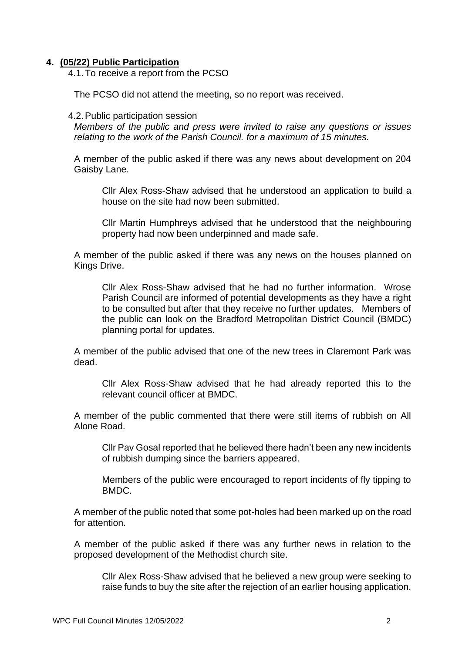### **4. (05/22) Public Participation**

4.1.To receive a report from the PCSO

The PCSO did not attend the meeting, so no report was received.

#### 4.2.Public participation session

*Members of the public and press were invited to raise any questions or issues relating to the work of the Parish Council. for a maximum of 15 minutes.* 

A member of the public asked if there was any news about development on 204 Gaisby Lane.

Cllr Alex Ross-Shaw advised that he understood an application to build a house on the site had now been submitted.

Cllr Martin Humphreys advised that he understood that the neighbouring property had now been underpinned and made safe.

A member of the public asked if there was any news on the houses planned on Kings Drive.

Cllr Alex Ross-Shaw advised that he had no further information. Wrose Parish Council are informed of potential developments as they have a right to be consulted but after that they receive no further updates. Members of the public can look on the Bradford Metropolitan District Council (BMDC) planning portal for updates.

A member of the public advised that one of the new trees in Claremont Park was dead.

Cllr Alex Ross-Shaw advised that he had already reported this to the relevant council officer at BMDC.

A member of the public commented that there were still items of rubbish on All Alone Road.

Cllr Pav Gosal reported that he believed there hadn't been any new incidents of rubbish dumping since the barriers appeared.

Members of the public were encouraged to report incidents of fly tipping to BMDC.

A member of the public noted that some pot-holes had been marked up on the road for attention.

A member of the public asked if there was any further news in relation to the proposed development of the Methodist church site.

Cllr Alex Ross-Shaw advised that he believed a new group were seeking to raise funds to buy the site after the rejection of an earlier housing application.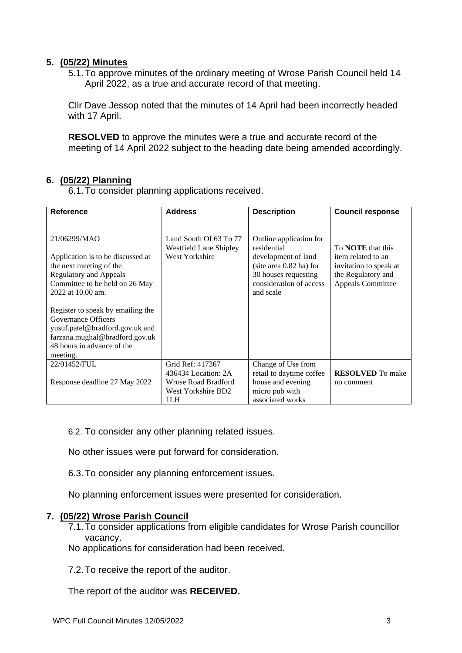### **5. (05/22) Minutes**

5.1.To approve minutes of the ordinary meeting of Wrose Parish Council held 14 April 2022, as a true and accurate record of that meeting.

Cllr Dave Jessop noted that the minutes of 14 April had been incorrectly headed with 17 April.

**RESOLVED** to approve the minutes were a true and accurate record of the meeting of 14 April 2022 subject to the heading date being amended accordingly.

## **6. (05/22) Planning**

6.1.To consider planning applications received.

| <b>Reference</b>                                                                                                                                                                                          | <b>Address</b>                                                                                     | <b>Description</b>                                                                                                                                         | <b>Council response</b>                                                                                                    |
|-----------------------------------------------------------------------------------------------------------------------------------------------------------------------------------------------------------|----------------------------------------------------------------------------------------------------|------------------------------------------------------------------------------------------------------------------------------------------------------------|----------------------------------------------------------------------------------------------------------------------------|
| 21/06299/MAO<br>Application is to be discussed at<br>the next meeting of the<br><b>Regulatory and Appeals</b><br>Committee to be held on 26 May<br>2022 at 10.00 am.<br>Register to speak by emailing the | Land South Of 63 To 77<br><b>Westfield Lane Shipley</b><br>West Yorkshire                          | Outline application for<br>residential<br>development of land<br>(site area $0.82$ ha) for<br>30 houses requesting<br>consideration of access<br>and scale | To <b>NOTE</b> that this<br>item related to an<br>invitation to speak at<br>the Regulatory and<br><b>Appeals Committee</b> |
| Governance Officers<br>yusuf.patel@bradford.gov.uk and<br>farzana.mughal@bradford.gov.uk<br>48 hours in advance of the<br>meeting.                                                                        |                                                                                                    |                                                                                                                                                            |                                                                                                                            |
| 22/01452/FUL<br>Response deadline 27 May 2022                                                                                                                                                             | Grid Ref: 417367<br>436434 Location: 2A<br><b>Wrose Road Bradford</b><br>West Yorkshire BD2<br>1LH | Change of Use from<br>retail to daytime coffee<br>house and evening<br>micro pub with<br>associated works                                                  | <b>RESOLVED</b> To make<br>no comment                                                                                      |

6.2. To consider any other planning related issues.

No other issues were put forward for consideration.

6.3.To consider any planning enforcement issues.

No planning enforcement issues were presented for consideration.

### **7. (05/22) Wrose Parish Council**

7.1.To consider applications from eligible candidates for Wrose Parish councillor vacancy.

No applications for consideration had been received.

7.2.To receive the report of the auditor.

The report of the auditor was **RECEIVED.**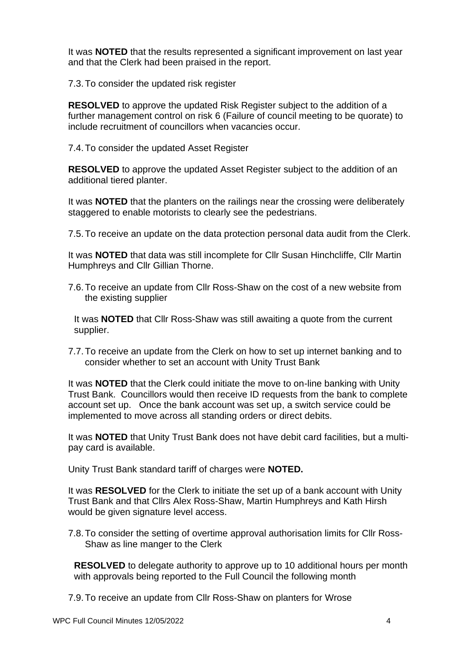It was **NOTED** that the results represented a significant improvement on last year and that the Clerk had been praised in the report.

7.3.To consider the updated risk register

**RESOLVED** to approve the updated Risk Register subject to the addition of a further management control on risk 6 (Failure of council meeting to be quorate) to include recruitment of councillors when vacancies occur.

7.4.To consider the updated Asset Register

**RESOLVED** to approve the updated Asset Register subject to the addition of an additional tiered planter.

It was **NOTED** that the planters on the railings near the crossing were deliberately staggered to enable motorists to clearly see the pedestrians.

7.5.To receive an update on the data protection personal data audit from the Clerk.

It was **NOTED** that data was still incomplete for Cllr Susan Hinchcliffe, Cllr Martin Humphreys and Cllr Gillian Thorne.

7.6.To receive an update from Cllr Ross-Shaw on the cost of a new website from the existing supplier

It was **NOTED** that Cllr Ross-Shaw was still awaiting a quote from the current supplier.

7.7.To receive an update from the Clerk on how to set up internet banking and to consider whether to set an account with Unity Trust Bank

It was **NOTED** that the Clerk could initiate the move to on-line banking with Unity Trust Bank. Councillors would then receive ID requests from the bank to complete account set up. Once the bank account was set up, a switch service could be implemented to move across all standing orders or direct debits.

It was **NOTED** that Unity Trust Bank does not have debit card facilities, but a multipay card is available.

Unity Trust Bank standard tariff of charges were **NOTED.**

It was **RESOLVED** for the Clerk to initiate the set up of a bank account with Unity Trust Bank and that Cllrs Alex Ross-Shaw, Martin Humphreys and Kath Hirsh would be given signature level access.

7.8.To consider the setting of overtime approval authorisation limits for Cllr Ross-Shaw as line manger to the Clerk

**RESOLVED** to delegate authority to approve up to 10 additional hours per month with approvals being reported to the Full Council the following month

7.9.To receive an update from Cllr Ross-Shaw on planters for Wrose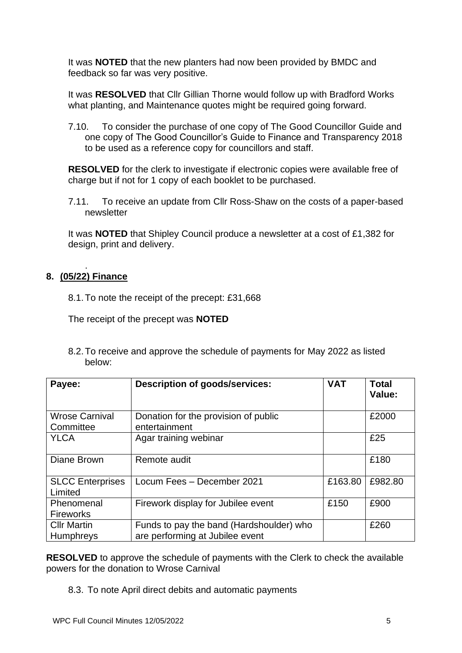It was **NOTED** that the new planters had now been provided by BMDC and feedback so far was very positive.

It was **RESOLVED** that Cllr Gillian Thorne would follow up with Bradford Works what planting, and Maintenance quotes might be required going forward.

7.10. To consider the purchase of one copy of The Good Councillor Guide and one copy of The Good Councillor's Guide to Finance and Transparency 2018 to be used as a reference copy for councillors and staff.

**RESOLVED** for the clerk to investigate if electronic copies were available free of charge but if not for 1 copy of each booklet to be purchased.

7.11. To receive an update from Cllr Ross-Shaw on the costs of a paper-based newsletter

It was **NOTED** that Shipley Council produce a newsletter at a cost of £1,382 for design, print and delivery.

#### . **8. (05/22) Finance**

8.1.To note the receipt of the precept: £31,668

The receipt of the precept was **NOTED**

8.2.To receive and approve the schedule of payments for May 2022 as listed below:

| Payee:                                 | <b>Description of goods/services:</b>                                       | <b>VAT</b> | <b>Total</b><br>Value: |
|----------------------------------------|-----------------------------------------------------------------------------|------------|------------------------|
| <b>Wrose Carnival</b><br>Committee     | Donation for the provision of public<br>entertainment                       |            | £2000                  |
| <b>YLCA</b>                            | Agar training webinar                                                       |            | £25                    |
| Diane Brown                            | Remote audit                                                                |            | £180                   |
| <b>SLCC Enterprises</b><br>Limited     | Locum Fees - December 2021                                                  | £163.80    | £982.80                |
| Phenomenal<br><b>Fireworks</b>         | Firework display for Jubilee event                                          | £150       | £900                   |
| <b>Cllr Martin</b><br><b>Humphreys</b> | Funds to pay the band (Hardshoulder) who<br>are performing at Jubilee event |            | £260                   |

**RESOLVED** to approve the schedule of payments with the Clerk to check the available powers for the donation to Wrose Carnival

8.3. To note April direct debits and automatic payments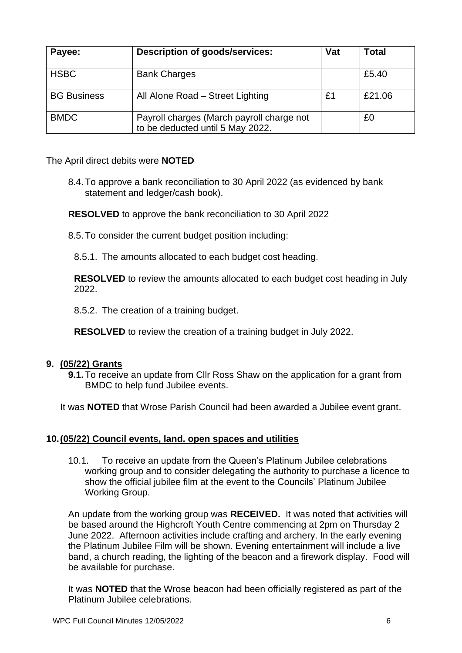| Payee:             | <b>Description of goods/services:</b>                                         | Vat | Total  |
|--------------------|-------------------------------------------------------------------------------|-----|--------|
| <b>HSBC</b>        | <b>Bank Charges</b>                                                           |     | £5.40  |
| <b>BG Business</b> | All Alone Road - Street Lighting                                              | £1  | £21.06 |
| <b>BMDC</b>        | Payroll charges (March payroll charge not<br>to be deducted until 5 May 2022. |     | £0     |

The April direct debits were **NOTED**

8.4.To approve a bank reconciliation to 30 April 2022 (as evidenced by bank statement and ledger/cash book).

**RESOLVED** to approve the bank reconciliation to 30 April 2022

8.5.To consider the current budget position including:

8.5.1. The amounts allocated to each budget cost heading.

**RESOLVED** to review the amounts allocated to each budget cost heading in July 2022.

8.5.2. The creation of a training budget.

**RESOLVED** to review the creation of a training budget in July 2022.

### **9. (05/22) Grants**

**9.1.**To receive an update from Cllr Ross Shaw on the application for a grant from BMDC to help fund Jubilee events.

It was **NOTED** that Wrose Parish Council had been awarded a Jubilee event grant.

### **10.(05/22) Council events, land. open spaces and utilities**

10.1. To receive an update from the Queen's Platinum Jubilee celebrations working group and to consider delegating the authority to purchase a licence to show the official jubilee film at the event to the Councils' Platinum Jubilee Working Group.

An update from the working group was **RECEIVED.** It was noted that activities will be based around the Highcroft Youth Centre commencing at 2pm on Thursday 2 June 2022. Afternoon activities include crafting and archery. In the early evening the Platinum Jubilee Film will be shown. Evening entertainment will include a live band, a church reading, the lighting of the beacon and a firework display. Food will be available for purchase.

It was **NOTED** that the Wrose beacon had been officially registered as part of the Platinum Jubilee celebrations.